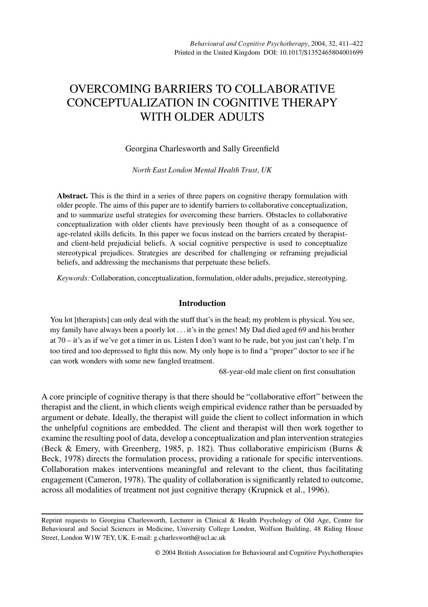# OVERCOMING BARRIERS TO COLLABORATIVE CONCEPTUALIZATION IN COGNITIVE THERAPY WITH OLDER ADULTS

Georgina Charlesworth and Sally Greenfield

*North East London Mental Health Trust, UK*

**Abstract.** This is the third in a series of three papers on cognitive therapy formulation with older people. The aims of this paper are to identify barriers to collaborative conceptualization, and to summarize useful strategies for overcoming these barriers. Obstacles to collaborative conceptualization with older clients have previously been thought of as a consequence of age-related skills deficits. In this paper we focus instead on the barriers created by therapistand client-held prejudicial beliefs. A social cognitive perspective is used to conceptualize stereotypical prejudices. Strategies are described for challenging or reframing prejudicial beliefs, and addressing the mechanisms that perpetuate these beliefs.

*Keywords:* Collaboration, conceptualization, formulation, older adults, prejudice, stereotyping.

#### **Introduction**

You lot [therapists] can only deal with the stuff that's in the head; my problem is physical. You see, my family have always been a poorly lot *...* it's in the genes! My Dad died aged 69 and his brother at 70 – it's as if we've got a timer in us. Listen I don't want to be rude, but you just can't help. I'm too tired and too depressed to fight this now. My only hope is to find a "proper" doctor to see if he can work wonders with some new fangled treatment.

68-year-old male client on first consultation

A core principle of cognitive therapy is that there should be "collaborative effort" between the therapist and the client, in which clients weigh empirical evidence rather than be persuaded by argument or debate. Ideally, the therapist will guide the client to collect information in which the unhelpful cognitions are embedded. The client and therapist will then work together to examine the resulting pool of data, develop a conceptualization and plan intervention strategies (Beck & Emery, with Greenberg, 1985, p. 182). Thus collaborative empiricism (Burns & Beck, 1978) directs the formulation process, providing a rationale for specific interventions. Collaboration makes interventions meaningful and relevant to the client, thus facilitating engagement (Cameron, 1978). The quality of collaboration is significantly related to outcome, across all modalities of treatment not just cognitive therapy (Krupnick et al., 1996).

Reprint requests to Georgina Charlesworth, Lecturer in Clinical & Health Psychology of Old Age, Centre for Behavioural and Social Sciences in Medicine, University College London, Wolfson Building, 48 Riding House Street, London W1W 7EY, UK. E-mail: g.charlesworth@ucl.ac.uk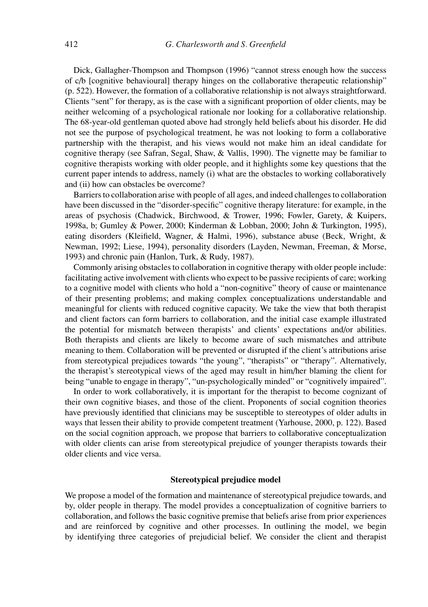Dick, Gallagher-Thompson and Thompson (1996) "cannot stress enough how the success of c/b [cognitive behavioural] therapy hinges on the collaborative therapeutic relationship" (p. 522). However, the formation of a collaborative relationship is not always straightforward. Clients "sent" for therapy, as is the case with a significant proportion of older clients, may be neither welcoming of a psychological rationale nor looking for a collaborative relationship. The 68-year-old gentleman quoted above had strongly held beliefs about his disorder. He did not see the purpose of psychological treatment, he was not looking to form a collaborative partnership with the therapist, and his views would not make him an ideal candidate for cognitive therapy (see Safran, Segal, Shaw, & Vallis, 1990). The vignette may be familiar to cognitive therapists working with older people, and it highlights some key questions that the current paper intends to address, namely (i) what are the obstacles to working collaboratively and (ii) how can obstacles be overcome?

Barriers to collaboration arise with people of all ages, and indeed challenges to collaboration have been discussed in the "disorder-specific" cognitive therapy literature: for example, in the areas of psychosis (Chadwick, Birchwood, & Trower, 1996; Fowler, Garety, & Kuipers, 1998a, b; Gumley & Power, 2000; Kinderman & Lobban, 2000; John & Turkington, 1995), eating disorders (Kleifield, Wagner, & Halmi, 1996), substance abuse (Beck, Wright, & Newman, 1992; Liese, 1994), personality disorders (Layden, Newman, Freeman, & Morse, 1993) and chronic pain (Hanlon, Turk, & Rudy, 1987).

Commonly arising obstacles to collaboration in cognitive therapy with older people include: facilitating active involvement with clients who expect to be passive recipients of care; working to a cognitive model with clients who hold a "non-cognitive" theory of cause or maintenance of their presenting problems; and making complex conceptualizations understandable and meaningful for clients with reduced cognitive capacity. We take the view that both therapist and client factors can form barriers to collaboration, and the initial case example illustrated the potential for mismatch between therapists' and clients' expectations and/or abilities. Both therapists and clients are likely to become aware of such mismatches and attribute meaning to them. Collaboration will be prevented or disrupted if the client's attributions arise from stereotypical prejudices towards "the young", "therapists" or "therapy". Alternatively, the therapist's stereotypical views of the aged may result in him/her blaming the client for being "unable to engage in therapy", "un-psychologically minded" or "cognitively impaired".

In order to work collaboratively, it is important for the therapist to become cognizant of their own cognitive biases, and those of the client. Proponents of social cognition theories have previously identified that clinicians may be susceptible to stereotypes of older adults in ways that lessen their ability to provide competent treatment (Yarhouse, 2000, p. 122). Based on the social cognition approach, we propose that barriers to collaborative conceptualization with older clients can arise from stereotypical prejudice of younger therapists towards their older clients and vice versa.

### **Stereotypical prejudice model**

We propose a model of the formation and maintenance of stereotypical prejudice towards, and by, older people in therapy. The model provides a conceptualization of cognitive barriers to collaboration, and follows the basic cognitive premise that beliefs arise from prior experiences and are reinforced by cognitive and other processes. In outlining the model, we begin by identifying three categories of prejudicial belief. We consider the client and therapist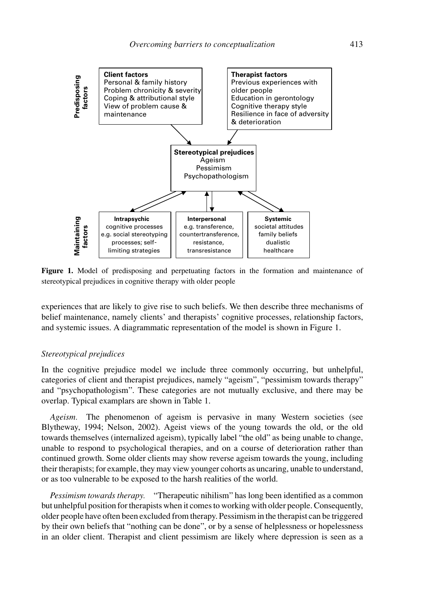

**Figure 1.** Model of predisposing and perpetuating factors in the formation and maintenance of stereotypical prejudices in cognitive therapy with older people

experiences that are likely to give rise to such beliefs. We then describe three mechanisms of belief maintenance, namely clients' and therapists' cognitive processes, relationship factors, and systemic issues. A diagrammatic representation of the model is shown in Figure 1.

# *Stereotypical prejudices*

In the cognitive prejudice model we include three commonly occurring, but unhelpful, categories of client and therapist prejudices, namely "ageism", "pessimism towards therapy" and "psychopathologism". These categories are not mutually exclusive, and there may be overlap. Typical examplars are shown in Table 1.

*Ageism.* The phenomenon of ageism is pervasive in many Western societies (see Blytheway, 1994; Nelson, 2002). Ageist views of the young towards the old, or the old towards themselves (internalized ageism), typically label "the old" as being unable to change, unable to respond to psychological therapies, and on a course of deterioration rather than continued growth. Some older clients may show reverse ageism towards the young, including their therapists; for example, they may view younger cohorts as uncaring, unable to understand, or as too vulnerable to be exposed to the harsh realities of the world.

*Pessimism towards therapy.* "Therapeutic nihilism" has long been identified as a common but unhelpful position for therapists when it comes to working with older people. Consequently, older people have often been excluded from therapy. Pessimism in the therapist can be triggered by their own beliefs that "nothing can be done", or by a sense of helplessness or hopelessness in an older client. Therapist and client pessimism are likely where depression is seen as a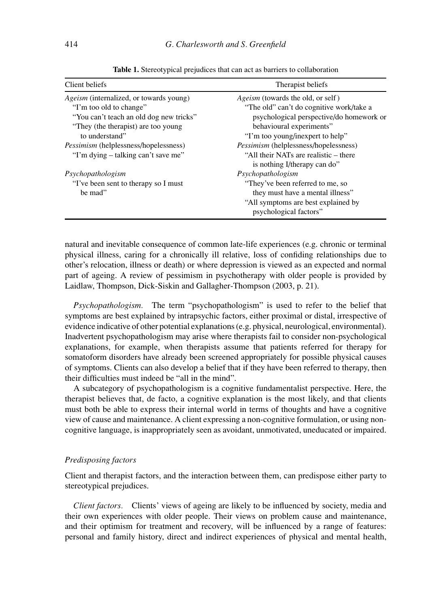| Client beliefs                                 | Therapist beliefs                            |
|------------------------------------------------|----------------------------------------------|
| <i>Ageism</i> (internalized, or towards young) | <i>Ageism</i> (towards the old, or self)     |
| "I'm too old to change"                        | "The old" can't do cognitive work/take a     |
| "You can't teach an old dog new tricks"        | psychological perspective/do homework or     |
| "They (the therapist) are too young            | behavioural experiments"                     |
| to understand"                                 | "I'm too young/inexpert to help"             |
| <i>Pessimism</i> (helplessness/hopelessness)   | <i>Pessimism</i> (helplessness/hopelessness) |
| "I'm dying – talking can't save me"            | "All their NATs are realistic – there        |
|                                                | is nothing I/therapy can do"                 |
| Psychopathologism                              | Psychopathologism                            |
| "I've been sent to therapy so I must           | "They've been referred to me, so             |
| be mad"                                        | they must have a mental illness"             |
|                                                | "All symptoms are best explained by          |
|                                                | psychological factors"                       |

Table 1. Stereotypical prejudices that can act as barriers to collaboration

natural and inevitable consequence of common late-life experiences (e.g. chronic or terminal physical illness, caring for a chronically ill relative, loss of confiding relationships due to other's relocation, illness or death) or where depression is viewed as an expected and normal part of ageing. A review of pessimism in psychotherapy with older people is provided by Laidlaw, Thompson, Dick-Siskin and Gallagher-Thompson (2003, p. 21).

*Psychopathologism.* The term "psychopathologism" is used to refer to the belief that symptoms are best explained by intrapsychic factors, either proximal or distal, irrespective of evidence indicative of other potential explanations (e.g. physical, neurological, environmental). Inadvertent psychopathologism may arise where therapists fail to consider non-psychological explanations, for example, when therapists assume that patients referred for therapy for somatoform disorders have already been screened appropriately for possible physical causes of symptoms. Clients can also develop a belief that if they have been referred to therapy, then their difficulties must indeed be "all in the mind".

A subcategory of psychopathologism is a cognitive fundamentalist perspective. Here, the therapist believes that, de facto, a cognitive explanation is the most likely, and that clients must both be able to express their internal world in terms of thoughts and have a cognitive view of cause and maintenance. A client expressing a non-cognitive formulation, or using noncognitive language, is inappropriately seen as avoidant, unmotivated, uneducated or impaired.

#### *Predisposing factors*

Client and therapist factors, and the interaction between them, can predispose either party to stereotypical prejudices.

*Client factors.* Clients' views of ageing are likely to be influenced by society, media and their own experiences with older people. Their views on problem cause and maintenance, and their optimism for treatment and recovery, will be influenced by a range of features: personal and family history, direct and indirect experiences of physical and mental health,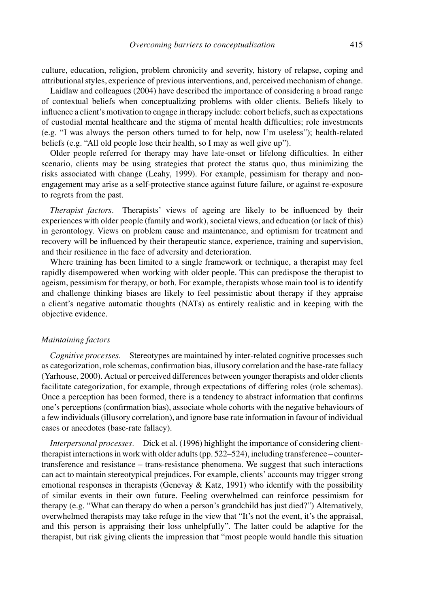culture, education, religion, problem chronicity and severity, history of relapse, coping and attributional styles, experience of previous interventions, and, perceived mechanism of change.

Laidlaw and colleagues (2004) have described the importance of considering a broad range of contextual beliefs when conceptualizing problems with older clients. Beliefs likely to influence a client's motivation to engage in therapy include: cohort beliefs, such as expectations of custodial mental healthcare and the stigma of mental health difficulties; role investments (e.g. "I was always the person others turned to for help, now I'm useless"); health-related beliefs (e.g. "All old people lose their health, so I may as well give up").

Older people referred for therapy may have late-onset or lifelong difficulties. In either scenario, clients may be using strategies that protect the status quo, thus minimizing the risks associated with change (Leahy, 1999). For example, pessimism for therapy and nonengagement may arise as a self-protective stance against future failure, or against re-exposure to regrets from the past.

*Therapist factors.* Therapists' views of ageing are likely to be influenced by their experiences with older people (family and work), societal views, and education (or lack of this) in gerontology. Views on problem cause and maintenance, and optimism for treatment and recovery will be influenced by their therapeutic stance, experience, training and supervision, and their resilience in the face of adversity and deterioration.

Where training has been limited to a single framework or technique, a therapist may feel rapidly disempowered when working with older people. This can predispose the therapist to ageism, pessimism for therapy, or both. For example, therapists whose main tool is to identify and challenge thinking biases are likely to feel pessimistic about therapy if they appraise a client's negative automatic thoughts (NATs) as entirely realistic and in keeping with the objective evidence.

#### *Maintaining factors*

*Cognitive processes.* Stereotypes are maintained by inter-related cognitive processes such as categorization, role schemas, confirmation bias, illusory correlation and the base-rate fallacy (Yarhouse, 2000). Actual or perceived differences between younger therapists and older clients facilitate categorization, for example, through expectations of differing roles (role schemas). Once a perception has been formed, there is a tendency to abstract information that confirms one's perceptions (confirmation bias), associate whole cohorts with the negative behaviours of a few individuals (illusory correlation), and ignore base rate information in favour of individual cases or anecdotes (base-rate fallacy).

*Interpersonal processes.* Dick et al. (1996) highlight the importance of considering clienttherapist interactions in work with older adults (pp. 522–524), including transference – countertransference and resistance – trans-resistance phenomena. We suggest that such interactions can act to maintain stereotypical prejudices. For example, clients' accounts may trigger strong emotional responses in therapists (Genevay & Katz, 1991) who identify with the possibility of similar events in their own future. Feeling overwhelmed can reinforce pessimism for therapy (e.g. "What can therapy do when a person's grandchild has just died?") Alternatively, overwhelmed therapists may take refuge in the view that "It's not the event, it's the appraisal, and this person is appraising their loss unhelpfully". The latter could be adaptive for the therapist, but risk giving clients the impression that "most people would handle this situation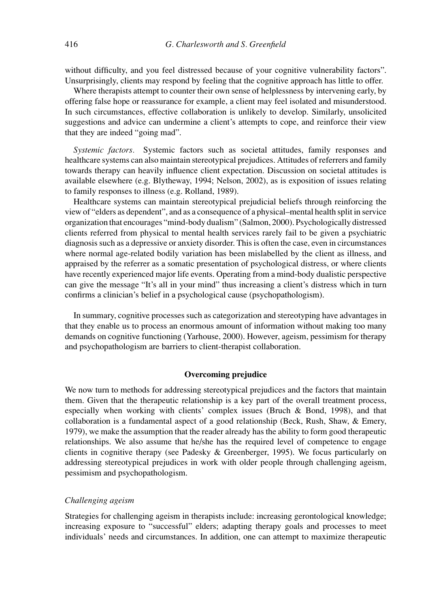without difficulty, and you feel distressed because of your cognitive vulnerability factors". Unsurprisingly, clients may respond by feeling that the cognitive approach has little to offer.

Where therapists attempt to counter their own sense of helplessness by intervening early, by offering false hope or reassurance for example, a client may feel isolated and misunderstood. In such circumstances, effective collaboration is unlikely to develop. Similarly, unsolicited suggestions and advice can undermine a client's attempts to cope, and reinforce their view that they are indeed "going mad".

*Systemic factors.* Systemic factors such as societal attitudes, family responses and healthcare systems can also maintain stereotypical prejudices. Attitudes of referrers and family towards therapy can heavily influence client expectation. Discussion on societal attitudes is available elsewhere (e.g. Blytheway, 1994; Nelson, 2002), as is exposition of issues relating to family responses to illness (e.g. Rolland, 1989).

Healthcare systems can maintain stereotypical prejudicial beliefs through reinforcing the view of "elders as dependent", and as a consequence of a physical–mental health split in service organization that encourages "mind-body dualism" (Salmon, 2000). Psychologically distressed clients referred from physical to mental health services rarely fail to be given a psychiatric diagnosis such as a depressive or anxiety disorder. This is often the case, even in circumstances where normal age-related bodily variation has been mislabelled by the client as illness, and appraised by the referrer as a somatic presentation of psychological distress, or where clients have recently experienced major life events. Operating from a mind-body dualistic perspective can give the message "It's all in your mind" thus increasing a client's distress which in turn confirms a clinician's belief in a psychological cause (psychopathologism).

In summary, cognitive processes such as categorization and stereotyping have advantages in that they enable us to process an enormous amount of information without making too many demands on cognitive functioning (Yarhouse, 2000). However, ageism, pessimism for therapy and psychopathologism are barriers to client-therapist collaboration.

# **Overcoming prejudice**

We now turn to methods for addressing stereotypical prejudices and the factors that maintain them. Given that the therapeutic relationship is a key part of the overall treatment process, especially when working with clients' complex issues (Bruch & Bond, 1998), and that collaboration is a fundamental aspect of a good relationship (Beck, Rush, Shaw, & Emery, 1979), we make the assumption that the reader already has the ability to form good therapeutic relationships. We also assume that he/she has the required level of competence to engage clients in cognitive therapy (see Padesky & Greenberger, 1995). We focus particularly on addressing stereotypical prejudices in work with older people through challenging ageism, pessimism and psychopathologism.

#### *Challenging ageism*

Strategies for challenging ageism in therapists include: increasing gerontological knowledge; increasing exposure to "successful" elders; adapting therapy goals and processes to meet individuals' needs and circumstances. In addition, one can attempt to maximize therapeutic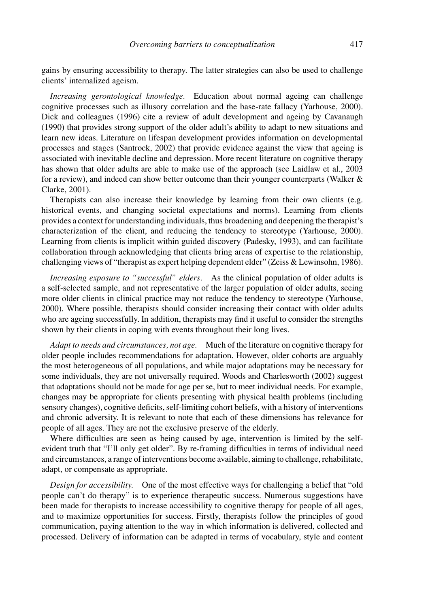gains by ensuring accessibility to therapy. The latter strategies can also be used to challenge clients' internalized ageism.

*Increasing gerontological knowledge.* Education about normal ageing can challenge cognitive processes such as illusory correlation and the base-rate fallacy (Yarhouse, 2000). Dick and colleagues (1996) cite a review of adult development and ageing by Cavanaugh (1990) that provides strong support of the older adult's ability to adapt to new situations and learn new ideas. Literature on lifespan development provides information on developmental processes and stages (Santrock, 2002) that provide evidence against the view that ageing is associated with inevitable decline and depression. More recent literature on cognitive therapy has shown that older adults are able to make use of the approach (see Laidlaw et al., 2003 for a review), and indeed can show better outcome than their younger counterparts (Walker & Clarke, 2001).

Therapists can also increase their knowledge by learning from their own clients (e.g. historical events, and changing societal expectations and norms). Learning from clients provides a context for understanding individuals, thus broadening and deepening the therapist's characterization of the client, and reducing the tendency to stereotype (Yarhouse, 2000). Learning from clients is implicit within guided discovery (Padesky, 1993), and can facilitate collaboration through acknowledging that clients bring areas of expertise to the relationship, challenging views of "therapist as expert helping dependent elder" (Zeiss & Lewinsohn, 1986).

*Increasing exposure to "successful" elders.* As the clinical population of older adults is a self-selected sample, and not representative of the larger population of older adults, seeing more older clients in clinical practice may not reduce the tendency to stereotype (Yarhouse, 2000). Where possible, therapists should consider increasing their contact with older adults who are ageing successfully. In addition, therapists may find it useful to consider the strengths shown by their clients in coping with events throughout their long lives.

*Adapt to needs and circumstances, not age.* Much of the literature on cognitive therapy for older people includes recommendations for adaptation. However, older cohorts are arguably the most heterogeneous of all populations, and while major adaptations may be necessary for some individuals, they are not universally required. Woods and Charlesworth (2002) suggest that adaptations should not be made for age per se, but to meet individual needs. For example, changes may be appropriate for clients presenting with physical health problems (including sensory changes), cognitive deficits, self-limiting cohort beliefs, with a history of interventions and chronic adversity. It is relevant to note that each of these dimensions has relevance for people of all ages. They are not the exclusive preserve of the elderly.

Where difficulties are seen as being caused by age, intervention is limited by the selfevident truth that "I'll only get older". By re-framing difficulties in terms of individual need and circumstances, a range of interventions become available, aiming to challenge, rehabilitate, adapt, or compensate as appropriate.

*Design for accessibility.* One of the most effective ways for challenging a belief that "old people can't do therapy" is to experience therapeutic success. Numerous suggestions have been made for therapists to increase accessibility to cognitive therapy for people of all ages, and to maximize opportunities for success. Firstly, therapists follow the principles of good communication, paying attention to the way in which information is delivered, collected and processed. Delivery of information can be adapted in terms of vocabulary, style and content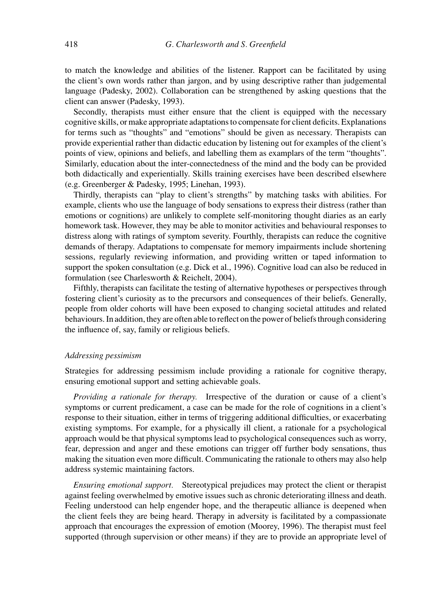to match the knowledge and abilities of the listener. Rapport can be facilitated by using the client's own words rather than jargon, and by using descriptive rather than judgemental language (Padesky, 2002). Collaboration can be strengthened by asking questions that the client can answer (Padesky, 1993).

Secondly, therapists must either ensure that the client is equipped with the necessary cognitive skills, or make appropriate adaptations to compensate for client deficits. Explanations for terms such as "thoughts" and "emotions" should be given as necessary. Therapists can provide experiential rather than didactic education by listening out for examples of the client's points of view, opinions and beliefs, and labelling them as examplars of the term "thoughts". Similarly, education about the inter-connectedness of the mind and the body can be provided both didactically and experientially. Skills training exercises have been described elsewhere (e.g. Greenberger & Padesky, 1995; Linehan, 1993).

Thirdly, therapists can "play to client's strengths" by matching tasks with abilities. For example, clients who use the language of body sensations to express their distress (rather than emotions or cognitions) are unlikely to complete self-monitoring thought diaries as an early homework task. However, they may be able to monitor activities and behavioural responses to distress along with ratings of symptom severity. Fourthly, therapists can reduce the cognitive demands of therapy. Adaptations to compensate for memory impairments include shortening sessions, regularly reviewing information, and providing written or taped information to support the spoken consultation (e.g. Dick et al., 1996). Cognitive load can also be reduced in formulation (see Charlesworth & Reichelt, 2004).

Fifthly, therapists can facilitate the testing of alternative hypotheses or perspectives through fostering client's curiosity as to the precursors and consequences of their beliefs. Generally, people from older cohorts will have been exposed to changing societal attitudes and related behaviours. In addition, they are often able to reflect on the power of beliefs through considering the influence of, say, family or religious beliefs.

# *Addressing pessimism*

Strategies for addressing pessimism include providing a rationale for cognitive therapy, ensuring emotional support and setting achievable goals.

*Providing a rationale for therapy.* Irrespective of the duration or cause of a client's symptoms or current predicament, a case can be made for the role of cognitions in a client's response to their situation, either in terms of triggering additional difficulties, or exacerbating existing symptoms. For example, for a physically ill client, a rationale for a psychological approach would be that physical symptoms lead to psychological consequences such as worry, fear, depression and anger and these emotions can trigger off further body sensations, thus making the situation even more difficult. Communicating the rationale to others may also help address systemic maintaining factors.

*Ensuring emotional support.* Stereotypical prejudices may protect the client or therapist against feeling overwhelmed by emotive issues such as chronic deteriorating illness and death. Feeling understood can help engender hope, and the therapeutic alliance is deepened when the client feels they are being heard. Therapy in adversity is facilitated by a compassionate approach that encourages the expression of emotion (Moorey, 1996). The therapist must feel supported (through supervision or other means) if they are to provide an appropriate level of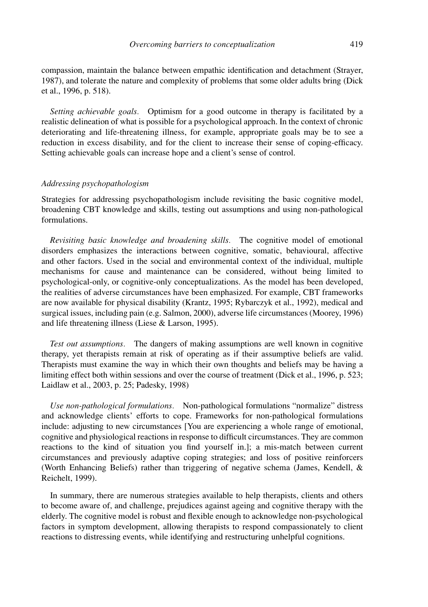compassion, maintain the balance between empathic identification and detachment (Strayer, 1987), and tolerate the nature and complexity of problems that some older adults bring (Dick et al., 1996, p. 518).

*Setting achievable goals.* Optimism for a good outcome in therapy is facilitated by a realistic delineation of what is possible for a psychological approach. In the context of chronic deteriorating and life-threatening illness, for example, appropriate goals may be to see a reduction in excess disability, and for the client to increase their sense of coping-efficacy. Setting achievable goals can increase hope and a client's sense of control.

#### *Addressing psychopathologism*

Strategies for addressing psychopathologism include revisiting the basic cognitive model, broadening CBT knowledge and skills, testing out assumptions and using non-pathological formulations.

*Revisiting basic knowledge and broadening skills.* The cognitive model of emotional disorders emphasizes the interactions between cognitive, somatic, behavioural, affective and other factors. Used in the social and environmental context of the individual, multiple mechanisms for cause and maintenance can be considered, without being limited to psychological-only, or cognitive-only conceptualizations. As the model has been developed, the realities of adverse circumstances have been emphasized. For example, CBT frameworks are now available for physical disability (Krantz, 1995; Rybarczyk et al., 1992), medical and surgical issues, including pain (e.g. Salmon, 2000), adverse life circumstances (Moorey, 1996) and life threatening illness (Liese & Larson, 1995).

*Test out assumptions.* The dangers of making assumptions are well known in cognitive therapy, yet therapists remain at risk of operating as if their assumptive beliefs are valid. Therapists must examine the way in which their own thoughts and beliefs may be having a limiting effect both within sessions and over the course of treatment (Dick et al., 1996, p. 523; Laidlaw et al., 2003, p. 25; Padesky, 1998)

*Use non-pathological formulations.* Non-pathological formulations "normalize" distress and acknowledge clients' efforts to cope. Frameworks for non-pathological formulations include: adjusting to new circumstances [You are experiencing a whole range of emotional, cognitive and physiological reactions in response to difficult circumstances. They are common reactions to the kind of situation you find yourself in.]; a mis-match between current circumstances and previously adaptive coping strategies; and loss of positive reinforcers (Worth Enhancing Beliefs) rather than triggering of negative schema (James, Kendell, & Reichelt, 1999).

In summary, there are numerous strategies available to help therapists, clients and others to become aware of, and challenge, prejudices against ageing and cognitive therapy with the elderly. The cognitive model is robust and flexible enough to acknowledge non-psychological factors in symptom development, allowing therapists to respond compassionately to client reactions to distressing events, while identifying and restructuring unhelpful cognitions.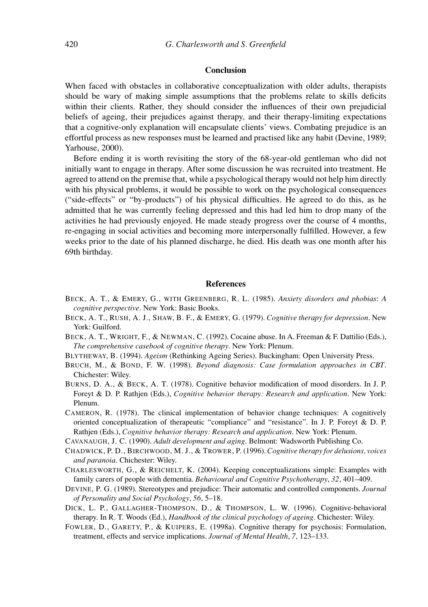# **Conclusion**

When faced with obstacles in collaborative conceptualization with older adults, therapists should be wary of making simple assumptions that the problems relate to skills deficits within their clients. Rather, they should consider the influences of their own prejudicial beliefs of ageing, their prejudices against therapy, and their therapy-limiting expectations that a cognitive-only explanation will encapsulate clients' views. Combating prejudice is an effortful process as new responses must be learned and practised like any habit (Devine, 1989; Yarhouse, 2000).

Before ending it is worth revisiting the story of the 68-year-old gentleman who did not initially want to engage in therapy. After some discussion he was recruited into treatment. He agreed to attend on the premise that, while a psychological therapy would not help him directly with his physical problems, it would be possible to work on the psychological consequences ("side-effects" or "by-products") of his physical difficulties. He agreed to do this, as he admitted that he was currently feeling depressed and this had led him to drop many of the activities he had previously enjoyed. He made steady progress over the course of 4 months, re-engaging in social activities and becoming more interpersonally fulfilled. However, a few weeks prior to the date of his planned discharge, he died. His death was one month after his 69th birthday.

#### **References**

- BECK, A. T., & EMERY, G., WITH GREENBERG, R. L. (1985). *Anxiety disorders and phobias*: *A cognitive perspective*. New York: Basic Books.
- BECK, A. T., RUSH, A. J., SHAW, B. F., & EMERY, G. (1979). *Cognitive therapy for depression*. New York: Guilford.
- BECK, A. T., WRIGHT, F., & NEWMAN, C. (1992). Cocaine abuse. In A. Freeman & F. Dattilio (Eds.), *The comprehensive casebook of cognitive therapy*. New York: Plenum.
- BLYTHEWAY, B. (1994). *Ageism* (Rethinking Ageing Series). Buckingham: Open University Press.
- BRUCH, M., & BOND, F. W. (1998). *Beyond diagnosis: Case formulation approaches in CBT*. Chichester: Wiley.
- BURNS, D. A., & BECK, A. T. (1978). Cognitive behavior modification of mood disorders. In J. P. Foreyt & D. P. Rathjen (Eds.), *Cognitive behavior therapy: Research and application*. New York: Plenum.
- CAMERON, R. (1978). The clinical implementation of behavior change techniques: A cognitively oriented conceptualization of therapeutic "compliance" and "resistance". In J. P. Foreyt & D. P. Rathjen (Eds.), *Cognitive behavior therapy: Research and application*. New York: Plenum.
- CAVANAUGH, J. C. (1990). *Adult development and aging*. Belmont: Wadsworth Publishing Co.
- CHADWICK, P. D., BIRCHWOOD, M. J., & TROWER, P. (1996). *Cognitive therapy for delusions, voices and paranoia*. Chichester: Wiley.
- CHARLESWORTH, G., & REICHELT, K. (2004). Keeping conceptualizations simple: Examples with family carers of people with dementia. *Behavioural and Cognitive Psychotherapy*, *32*, 401–409.
- DEVINE, P. G. (1989). Stereotypes and prejudice: Their automatic and controlled components. *Journal of Personality and Social Psychology*, *56*, 5–18.
- DICK, L. P., GALLAGHER-THOMPSON, D., & THOMPSON, L. W. (1996). Cognitive-behavioral therapy. In R. T. Woods (Ed.), *Handbook of the clinical psychology of ageing.* Chichester: Wiley.
- FOWLER, D., GARETY, P., & KUIPERS, E. (1998a). Cognitive therapy for psychosis: Formulation, treatment, effects and service implications. *Journal of Mental Health*, *7*, 123–133.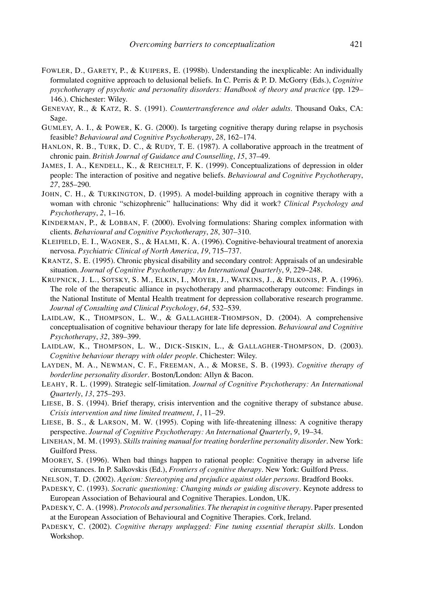- FOWLER, D., GARETY, P., & KUIPERS, E. (1998b). Understanding the inexplicable: An individually formulated cognitive approach to delusional beliefs. In C. Perris & P. D. McGorry (Eds.), *Cognitive psychotherapy of psychotic and personality disorders: Handbook of theory and practice* (pp. 129– 146.). Chichester: Wiley.
- GENEVAY, R., & KATZ, R. S. (1991). *Countertransference and older adults*. Thousand Oaks, CA: Sage.
- GUMLEY, A. I., & POWER, K. G. (2000). Is targeting cognitive therapy during relapse in psychosis feasible? *Behavioural and Cognitive Psychotherapy*, *28*, 162–174.
- HANLON, R. B., TURK, D. C., & RUDY, T. E. (1987). A collaborative approach in the treatment of chronic pain. *British Journal of Guidance and Counselling*, *15*, 37–49.
- JAMES, I. A., KENDELL, K., & REICHELT, F. K. (1999). Conceptualizations of depression in older people: The interaction of positive and negative beliefs. *Behavioural and Cognitive Psychotherapy*, *27*, 285–290.
- JOHN, C. H., & TURKINGTON, D. (1995). A model-building approach in cognitive therapy with a woman with chronic "schizophrenic" hallucinations: Why did it work? *Clinical Psychology and Psychotherapy*, *2*, 1–16.
- KINDERMAN, P., & LOBBAN, F. (2000). Evolving formulations: Sharing complex information with clients. *Behavioural and Cognitive Psychotherapy*, *28*, 307–310.
- KLEIFIELD, E. I., WAGNER, S., & HALMI, K. A. (1996). Cognitive-behavioural treatment of anorexia nervosa. *Psychiatric Clinical of North America*, *19*, 715–737.
- KRANTZ, S. E. (1995). Chronic physical disability and secondary control: Appraisals of an undesirable situation. *Journal of Cognitive Psychotherapy: An International Quarterly*, *9*, 229–248.
- KRUPNICK, J. L., SOTSKY, S. M., ELKIN, I., MOYER, J., WATKINS, J., & PILKONIS, P. A. (1996). The role of the therapeutic alliance in psychotherapy and pharmacotherapy outcome: Findings in the National Institute of Mental Health treatment for depression collaborative research programme. *Journal of Consulting and Clinical Psychology*, *64*, 532–539.
- LAIDLAW, K., THOMPSON, L. W., & GALLAGHER-THOMPSON, D. (2004). A comprehensive conceptualisation of cognitive behaviour therapy for late life depression. *Behavioural and Cognitive Psychotherapy*, *32*, 389–399.
- LAIDLAW, K., THOMPSON, L. W., DICK-SISKIN, L., & GALLAGHER-THOMPSON, D. (2003). *Cognitive behaviour therapy with older people*. Chichester: Wiley.
- LAYDEN, M. A., NEWMAN, C. F., FREEMAN, A., & MORSE, S. B. (1993). *Cognitive therapy of borderline personality disorder*. Boston/London: Allyn & Bacon.
- LEAHY, R. L. (1999). Strategic self-limitation. *Journal of Cognitive Psychotherapy: An International Quarterly*, *13*, 275–293.
- LIESE, B. S. (1994). Brief therapy, crisis intervention and the cognitive therapy of substance abuse. *Crisis intervention and time limited treatment*, *1*, 11–29.
- LIESE, B. S., & LARSON, M. W. (1995). Coping with life-threatening illness: A cognitive therapy perspective. *Journal of Cognitive Psychotherapy: An International Quarterly*, *9*, 19–34.
- LINEHAN, M. M. (1993). *Skills training manual for treating borderline personality disorder*. New York: Guilford Press.
- MOOREY, S. (1996). When bad things happen to rational people: Cognitive therapy in adverse life circumstances. In P. Salkovskis (Ed.), *Frontiers of cognitive therapy*. New York: Guilford Press.
- NELSON, T. D. (2002). *Ageism: Stereotyping and prejudice against older persons*. Bradford Books.
- PADESKY, C. (1993). *Socratic questioning: Changing minds or guiding discovery*. Keynote address to European Association of Behavioural and Cognitive Therapies. London, UK.
- PADESKY, C. A. (1998). *Protocols and personalities. The therapist in cognitive therapy*. Paper presented at the European Association of Behavioural and Cognitive Therapies. Cork, Ireland.
- PADESKY, C. (2002). *Cognitive therapy unplugged: Fine tuning essential therapist skills*. London Workshop.